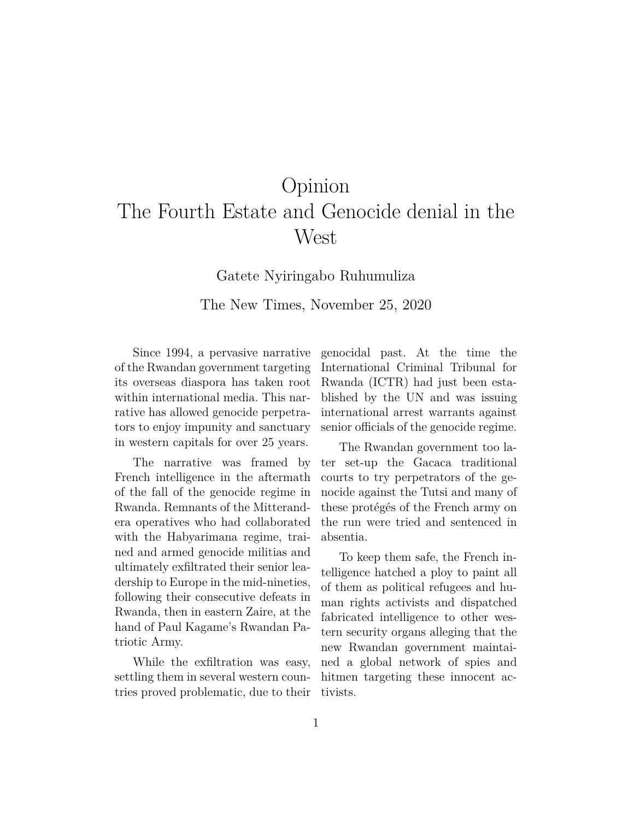## Opinion The Fourth Estate and Genocide denial in the West

Gatete Nyiringabo Ruhumuliza The New Times, November 25, 2020

Since 1994, a pervasive narrative of the Rwandan government targeting its overseas diaspora has taken root within international media. This narrative has allowed genocide perpetrators to enjoy impunity and sanctuary in western capitals for over 25 years.

The narrative was framed by French intelligence in the aftermath of the fall of the genocide regime in Rwanda. Remnants of the Mitterandera operatives who had collaborated with the Habyarimana regime, trained and armed genocide militias and ultimately exfiltrated their senior leadership to Europe in the mid-nineties, following their consecutive defeats in Rwanda, then in eastern Zaire, at the hand of Paul Kagame's Rwandan Patriotic Army.

While the exfiltration was easy, settling them in several western countries proved problematic, due to their genocidal past. At the time the International Criminal Tribunal for Rwanda (ICTR) had just been established by the UN and was issuing international arrest warrants against senior officials of the genocide regime.

The Rwandan government too later set-up the Gacaca traditional courts to try perpetrators of the genocide against the Tutsi and many of these protégés of the French army on the run were tried and sentenced in absentia.

To keep them safe, the French intelligence hatched a ploy to paint all of them as political refugees and human rights activists and dispatched fabricated intelligence to other western security organs alleging that the new Rwandan government maintained a global network of spies and hitmen targeting these innocent activists.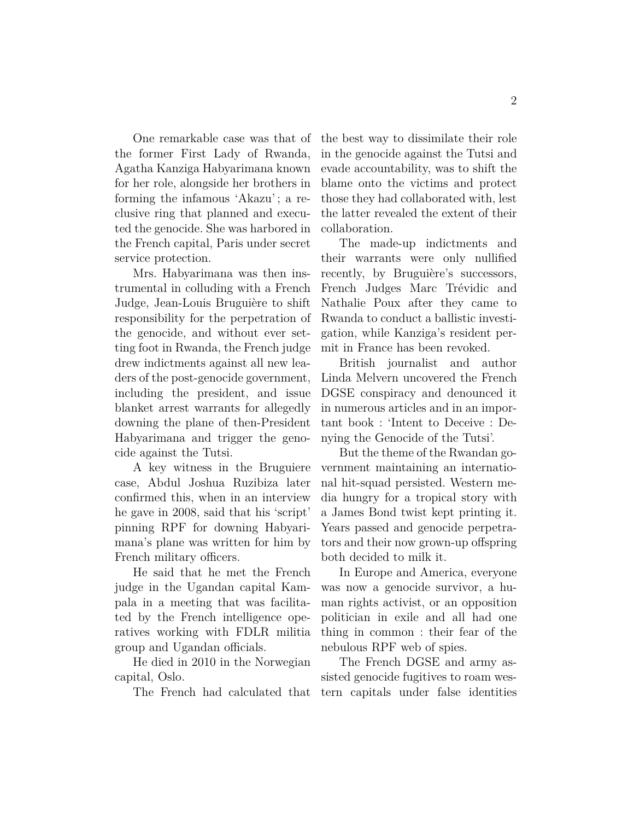One remarkable case was that of the former First Lady of Rwanda, Agatha Kanziga Habyarimana known for her role, alongside her brothers in forming the infamous 'Akazu' ; a reclusive ring that planned and executed the genocide. She was harbored in the French capital, Paris under secret service protection.

Mrs. Habyarimana was then instrumental in colluding with a French Judge, Jean-Louis Bruguière to shift responsibility for the perpetration of the genocide, and without ever setting foot in Rwanda, the French judge drew indictments against all new leaders of the post-genocide government, including the president, and issue blanket arrest warrants for allegedly downing the plane of then-President Habyarimana and trigger the genocide against the Tutsi.

A key witness in the Bruguiere case, Abdul Joshua Ruzibiza later confirmed this, when in an interview he gave in 2008, said that his 'script' pinning RPF for downing Habyarimana's plane was written for him by French military officers.

He said that he met the French judge in the Ugandan capital Kampala in a meeting that was facilitated by the French intelligence operatives working with FDLR militia group and Ugandan officials.

He died in 2010 in the Norwegian capital, Oslo.

The French had calculated that

the best way to dissimilate their role in the genocide against the Tutsi and evade accountability, was to shift the blame onto the victims and protect those they had collaborated with, lest the latter revealed the extent of their collaboration.

The made-up indictments and their warrants were only nullified recently, by Bruguière's successors, French Judges Marc Trévidic and Nathalie Poux after they came to Rwanda to conduct a ballistic investigation, while Kanziga's resident permit in France has been revoked.

British journalist and author Linda Melvern uncovered the French DGSE conspiracy and denounced it in numerous articles and in an important book : 'Intent to Deceive : Denying the Genocide of the Tutsi'.

But the theme of the Rwandan government maintaining an international hit-squad persisted. Western media hungry for a tropical story with a James Bond twist kept printing it. Years passed and genocide perpetrators and their now grown-up offspring both decided to milk it.

In Europe and America, everyone was now a genocide survivor, a human rights activist, or an opposition politician in exile and all had one thing in common : their fear of the nebulous RPF web of spies.

The French DGSE and army assisted genocide fugitives to roam western capitals under false identities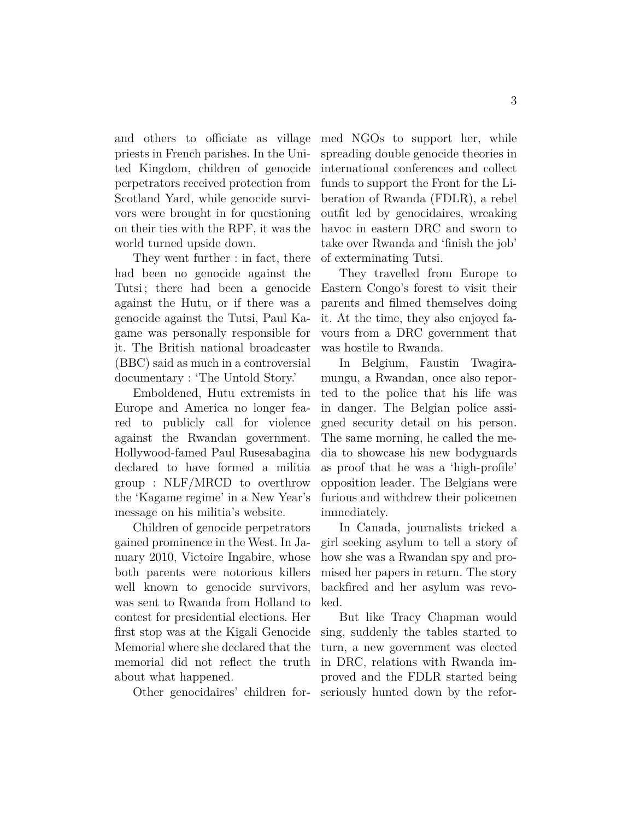and others to officiate as village priests in French parishes. In the United Kingdom, children of genocide perpetrators received protection from Scotland Yard, while genocide survivors were brought in for questioning on their ties with the RPF, it was the world turned upside down.

They went further : in fact, there had been no genocide against the Tutsi; there had been a genocide against the Hutu, or if there was a genocide against the Tutsi, Paul Kagame was personally responsible for it. The British national broadcaster (BBC) said as much in a controversial documentary : 'The Untold Story.'

Emboldened, Hutu extremists in Europe and America no longer feared to publicly call for violence against the Rwandan government. Hollywood-famed Paul Rusesabagina declared to have formed a militia group : NLF/MRCD to overthrow the 'Kagame regime' in a New Year's message on his militia's website.

Children of genocide perpetrators gained prominence in the West. In January 2010, Victoire Ingabire, whose both parents were notorious killers well known to genocide survivors, was sent to Rwanda from Holland to contest for presidential elections. Her first stop was at the Kigali Genocide Memorial where she declared that the memorial did not reflect the truth about what happened.

Other genocidaires' children for-

med NGOs to support her, while spreading double genocide theories in international conferences and collect funds to support the Front for the Liberation of Rwanda (FDLR), a rebel outfit led by genocidaires, wreaking havoc in eastern DRC and sworn to take over Rwanda and 'finish the job' of exterminating Tutsi.

They travelled from Europe to Eastern Congo's forest to visit their parents and filmed themselves doing it. At the time, they also enjoyed favours from a DRC government that was hostile to Rwanda.

In Belgium, Faustin Twagiramungu, a Rwandan, once also reported to the police that his life was in danger. The Belgian police assigned security detail on his person. The same morning, he called the media to showcase his new bodyguards as proof that he was a 'high-profile' opposition leader. The Belgians were furious and withdrew their policemen immediately.

In Canada, journalists tricked a girl seeking asylum to tell a story of how she was a Rwandan spy and promised her papers in return. The story backfired and her asylum was revoked.

But like Tracy Chapman would sing, suddenly the tables started to turn, a new government was elected in DRC, relations with Rwanda improved and the FDLR started being seriously hunted down by the refor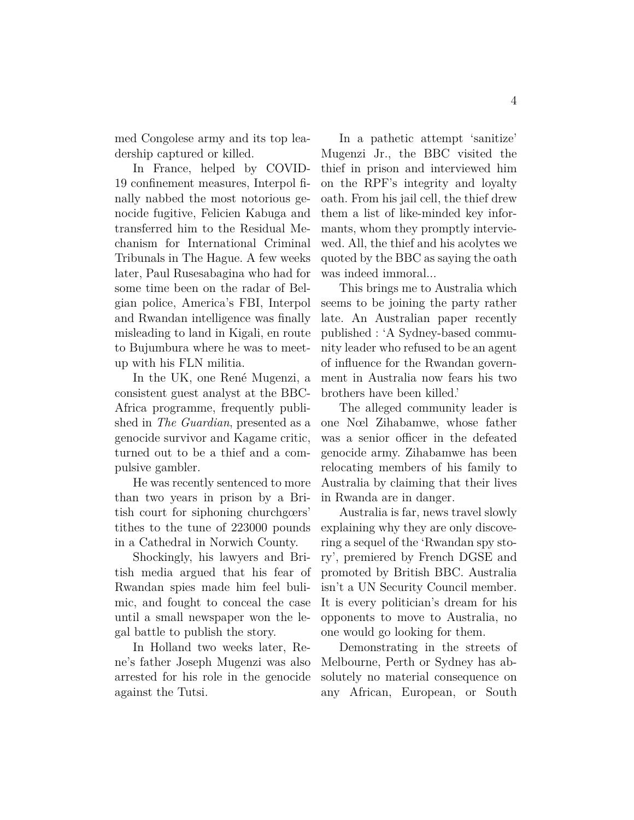med Congolese army and its top leadership captured or killed.

In France, helped by COVID-19 confinement measures, Interpol finally nabbed the most notorious genocide fugitive, Felicien Kabuga and transferred him to the Residual Mechanism for International Criminal Tribunals in The Hague. A few weeks later, Paul Rusesabagina who had for some time been on the radar of Belgian police, America's FBI, Interpol and Rwandan intelligence was finally misleading to land in Kigali, en route to Bujumbura where he was to meetup with his FLN militia.

In the UK, one René Mugenzi, a consistent guest analyst at the BBC-Africa programme, frequently published in *The Guardian*, presented as a genocide survivor and Kagame critic, turned out to be a thief and a compulsive gambler.

He was recently sentenced to more than two years in prison by a British court for siphoning churchgœrs' tithes to the tune of 223000 pounds in a Cathedral in Norwich County.

Shockingly, his lawyers and British media argued that his fear of Rwandan spies made him feel bulimic, and fought to conceal the case until a small newspaper won the legal battle to publish the story.

In Holland two weeks later, Rene's father Joseph Mugenzi was also arrested for his role in the genocide against the Tutsi.

In a pathetic attempt 'sanitize' Mugenzi Jr., the BBC visited the thief in prison and interviewed him on the RPF's integrity and loyalty oath. From his jail cell, the thief drew them a list of like-minded key informants, whom they promptly interviewed. All, the thief and his acolytes we quoted by the BBC as saying the oath was indeed immoral...

This brings me to Australia which seems to be joining the party rather late. An Australian paper recently published : 'A Sydney-based community leader who refused to be an agent of influence for the Rwandan government in Australia now fears his two brothers have been killed.'

The alleged community leader is one Nœl Zihabamwe, whose father was a senior officer in the defeated genocide army. Zihabamwe has been relocating members of his family to Australia by claiming that their lives in Rwanda are in danger.

Australia is far, news travel slowly explaining why they are only discovering a sequel of the 'Rwandan spy story', premiered by French DGSE and promoted by British BBC. Australia isn't a UN Security Council member. It is every politician's dream for his opponents to move to Australia, no one would go looking for them.

Demonstrating in the streets of Melbourne, Perth or Sydney has absolutely no material consequence on any African, European, or South